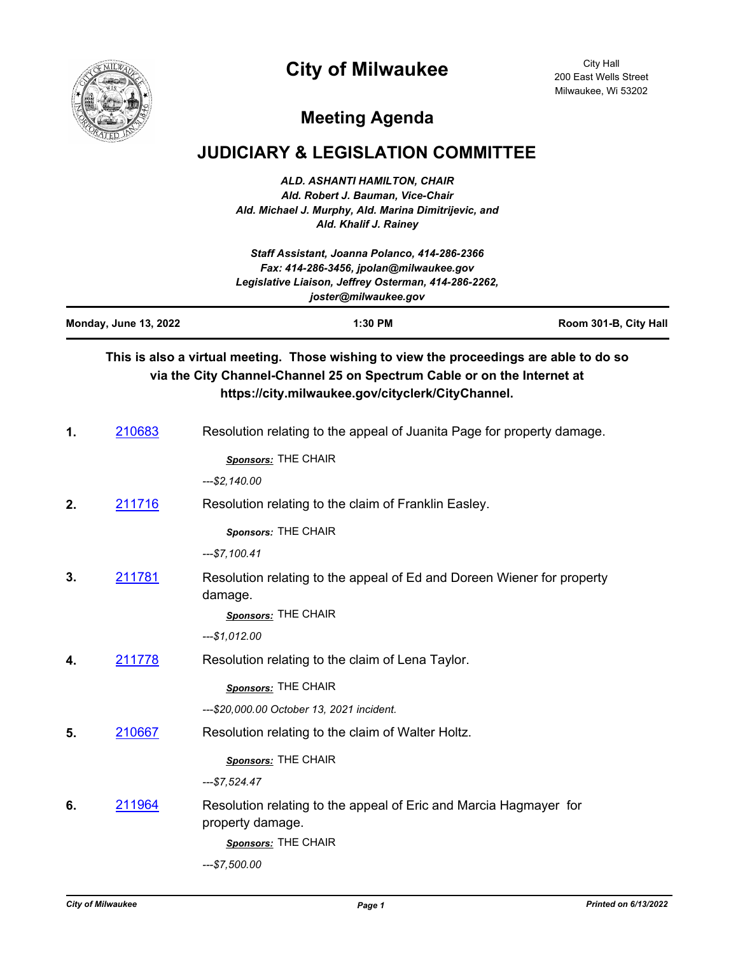## **City of Milwaukee**



City Hall 200 East Wells Street Milwaukee, Wi 53202

## **Meeting Agenda**

## **JUDICIARY & LEGISLATION COMMITTEE**

*ALD. ASHANTI HAMILTON, CHAIR Ald. Robert J. Bauman, Vice-Chair Ald. Michael J. Murphy, Ald. Marina Dimitrijevic, and Ald. Khalif J. Rainey*

| Staff Assistant, Joanna Polanco, 414-286-2366<br>Fax: 414-286-3456, jpolan@milwaukee.gov<br>Legislative Liaison, Jeffrey Osterman, 414-286-2262,<br>joster@milwaukee.gov |               |                                                                                                                                                                                                                         |                       |
|--------------------------------------------------------------------------------------------------------------------------------------------------------------------------|---------------|-------------------------------------------------------------------------------------------------------------------------------------------------------------------------------------------------------------------------|-----------------------|
| <b>Monday, June 13, 2022</b>                                                                                                                                             |               | 1:30 PM                                                                                                                                                                                                                 | Room 301-B, City Hall |
|                                                                                                                                                                          |               | This is also a virtual meeting. Those wishing to view the proceedings are able to do so<br>via the City Channel-Channel 25 on Spectrum Cable or on the Internet at<br>https://city.milwaukee.gov/cityclerk/CityChannel. |                       |
| 1.                                                                                                                                                                       | 210683        | Resolution relating to the appeal of Juanita Page for property damage.                                                                                                                                                  |                       |
|                                                                                                                                                                          |               | Sponsors: THE CHAIR                                                                                                                                                                                                     |                       |
|                                                                                                                                                                          |               | ---\$2,140.00                                                                                                                                                                                                           |                       |
| 2.                                                                                                                                                                       | 211716        | Resolution relating to the claim of Franklin Easley.                                                                                                                                                                    |                       |
|                                                                                                                                                                          |               | Sponsors: THE CHAIR<br>$-.$7,100.41$                                                                                                                                                                                    |                       |
| 3.                                                                                                                                                                       | 211781        | Resolution relating to the appeal of Ed and Doreen Wiener for property<br>damage.<br>Sponsors: THE CHAIR                                                                                                                |                       |
|                                                                                                                                                                          |               | $-.$1,012.00$                                                                                                                                                                                                           |                       |
| 4.                                                                                                                                                                       | 211778        | Resolution relating to the claim of Lena Taylor.                                                                                                                                                                        |                       |
|                                                                                                                                                                          |               | Sponsors: THE CHAIR                                                                                                                                                                                                     |                       |
|                                                                                                                                                                          |               | ---\$20,000.00 October 13, 2021 incident.                                                                                                                                                                               |                       |
| 5.                                                                                                                                                                       | 210667        | Resolution relating to the claim of Walter Holtz.                                                                                                                                                                       |                       |
|                                                                                                                                                                          |               | Sponsors: THE CHAIR                                                                                                                                                                                                     |                       |
|                                                                                                                                                                          |               | $-57,524.47$                                                                                                                                                                                                            |                       |
| 6.                                                                                                                                                                       | <u>211964</u> | Resolution relating to the appeal of Eric and Marcia Hagmayer for<br>property damage.<br>Sponsors: THE CHAIR                                                                                                            |                       |
|                                                                                                                                                                          |               | ---\$7,500.00                                                                                                                                                                                                           |                       |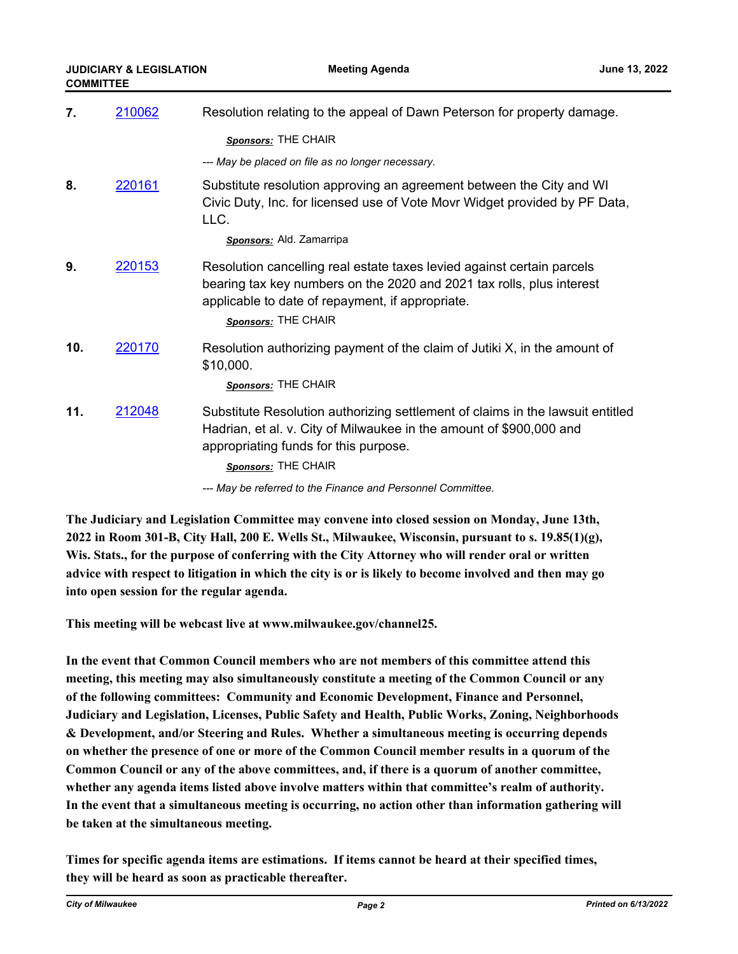| 7.  | 210062        | Resolution relating to the appeal of Dawn Peterson for property damage.                                                                                                                                                    |  |
|-----|---------------|----------------------------------------------------------------------------------------------------------------------------------------------------------------------------------------------------------------------------|--|
|     |               | Sponsors: THE CHAIR                                                                                                                                                                                                        |  |
|     |               | --- May be placed on file as no longer necessary.                                                                                                                                                                          |  |
| 8.  | 220161        | Substitute resolution approving an agreement between the City and WI<br>Civic Duty, Inc. for licensed use of Vote Movr Widget provided by PF Data,<br>LLC.<br>Sponsors: Ald. Zamarripa                                     |  |
| 9.  | <u>220153</u> | Resolution cancelling real estate taxes levied against certain parcels<br>bearing tax key numbers on the 2020 and 2021 tax rolls, plus interest<br>applicable to date of repayment, if appropriate.<br>Sponsors: THE CHAIR |  |
| 10. | 220170        | Resolution authorizing payment of the claim of Jutiki X, in the amount of<br>\$10,000.<br>Sponsors: THE CHAIR                                                                                                              |  |
| 11. | 212048        | Substitute Resolution authorizing settlement of claims in the lawsuit entitled<br>Hadrian, et al. v. City of Milwaukee in the amount of \$900,000 and<br>appropriating funds for this purpose.<br>Sponsors: THE CHAIR      |  |
|     |               | --- May be referred to the Finance and Personnel Committee.                                                                                                                                                                |  |

**The Judiciary and Legislation Committee may convene into closed session on Monday, June 13th, 2022 in Room 301-B, City Hall, 200 E. Wells St., Milwaukee, Wisconsin, pursuant to s. 19.85(1)(g), Wis. Stats., for the purpose of conferring with the City Attorney who will render oral or written advice with respect to litigation in which the city is or is likely to become involved and then may go into open session for the regular agenda.**

**This meeting will be webcast live at www.milwaukee.gov/channel25.**

**In the event that Common Council members who are not members of this committee attend this meeting, this meeting may also simultaneously constitute a meeting of the Common Council or any of the following committees: Community and Economic Development, Finance and Personnel, Judiciary and Legislation, Licenses, Public Safety and Health, Public Works, Zoning, Neighborhoods & Development, and/or Steering and Rules. Whether a simultaneous meeting is occurring depends on whether the presence of one or more of the Common Council member results in a quorum of the Common Council or any of the above committees, and, if there is a quorum of another committee, whether any agenda items listed above involve matters within that committee's realm of authority. In the event that a simultaneous meeting is occurring, no action other than information gathering will be taken at the simultaneous meeting.**

**Times for specific agenda items are estimations. If items cannot be heard at their specified times, they will be heard as soon as practicable thereafter.**